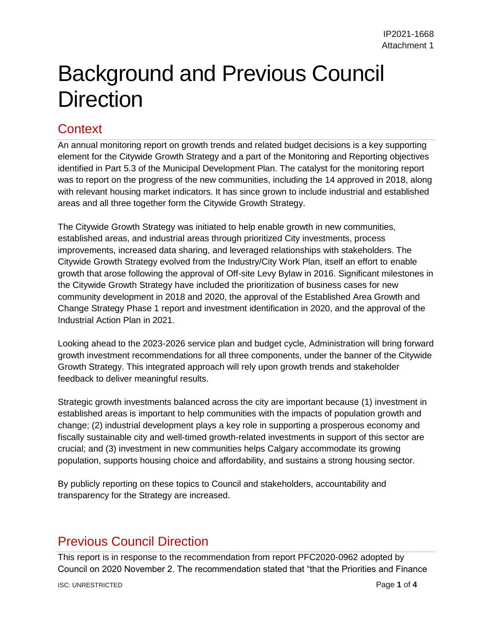## Background and Previous Council **Direction**

## **Context**

An annual monitoring report on growth trends and related budget decisions is a key supporting element for the Citywide Growth Strategy and a part of the Monitoring and Reporting objectives identified in Part 5.3 of the Municipal Development Plan. The catalyst for the monitoring report was to report on the progress of the new communities, including the 14 approved in 2018, along with relevant housing market indicators. It has since grown to include industrial and established areas and all three together form the Citywide Growth Strategy.

The Citywide Growth Strategy was initiated to help enable growth in new communities, established areas, and industrial areas through prioritized City investments, process improvements, increased data sharing, and leveraged relationships with stakeholders. The Citywide Growth Strategy evolved from the Industry/City Work Plan, itself an effort to enable growth that arose following the approval of Off-site Levy Bylaw in 2016. Significant milestones in the Citywide Growth Strategy have included the prioritization of business cases for new community development in 2018 and 2020, the approval of the Established Area Growth and Change Strategy Phase 1 report and investment identification in 2020, and the approval of the Industrial Action Plan in 2021.

Looking ahead to the 2023-2026 service plan and budget cycle, Administration will bring forward growth investment recommendations for all three components, under the banner of the Citywide Growth Strategy. This integrated approach will rely upon growth trends and stakeholder feedback to deliver meaningful results.

Strategic growth investments balanced across the city are important because (1) investment in established areas is important to help communities with the impacts of population growth and change; (2) industrial development plays a key role in supporting a prosperous economy and fiscally sustainable city and well-timed growth-related investments in support of this sector are crucial; and (3) investment in new communities helps Calgary accommodate its growing population, supports housing choice and affordability, and sustains a strong housing sector.

By publicly reporting on these topics to Council and stakeholders, accountability and transparency for the Strategy are increased.

## Previous Council Direction

This report is in response to the recommendation from report PFC2020-0962 adopted by Council on 2020 November 2. The recommendation stated that "that the Priorities and Finance

**ISC: UNRESTRICTED Page 1** of 4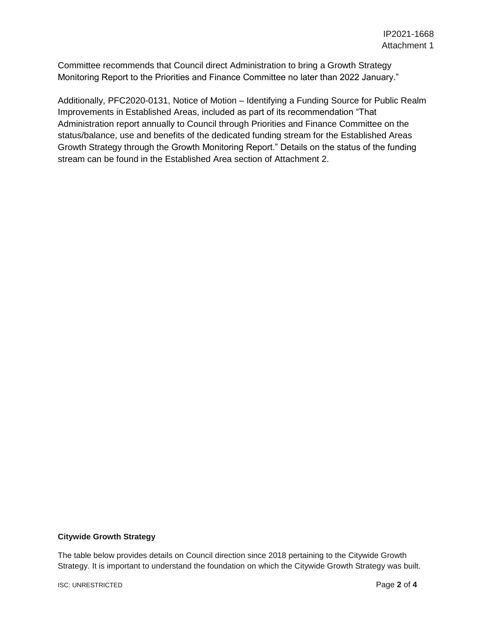Committee recommends that Council direct Administration to bring a Growth Strategy Monitoring Report to the Priorities and Finance Committee no later than 2022 January."

Additionally, PFC2020-0131, Notice of Motion – Identifying a Funding Source for Public Realm Improvements in Established Areas, included as part of its recommendation "That Administration report annually to Council through Priorities and Finance Committee on the status/balance, use and benefits of the dedicated funding stream for the Established Areas Growth Strategy through the Growth Monitoring Report." Details on the status of the funding stream can be found in the Established Area section of Attachment 2.

## **Citywide Growth Strategy**

The table below provides details on Council direction since 2018 pertaining to the Citywide Growth Strategy. It is important to understand the foundation on which the Citywide Growth Strategy was built.

**ISC: UNRESTRICTED Page 2** of 4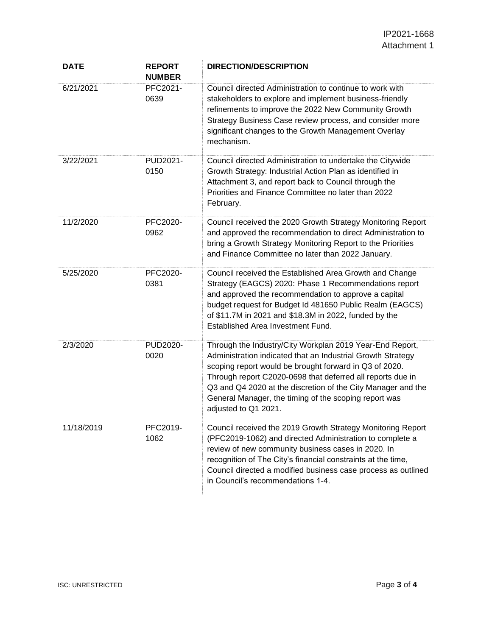| <b>DATE</b> | <b>REPORT</b><br><b>NUMBER</b> | <b>DIRECTION/DESCRIPTION</b>                                                                                                                                                                                                                                                                                                                                                                     |
|-------------|--------------------------------|--------------------------------------------------------------------------------------------------------------------------------------------------------------------------------------------------------------------------------------------------------------------------------------------------------------------------------------------------------------------------------------------------|
| 6/21/2021   | PFC2021-<br>0639               | Council directed Administration to continue to work with<br>stakeholders to explore and implement business-friendly<br>refinements to improve the 2022 New Community Growth<br>Strategy Business Case review process, and consider more<br>significant changes to the Growth Management Overlay<br>mechanism.                                                                                    |
| 3/22/2021   | PUD2021-<br>0150               | Council directed Administration to undertake the Citywide<br>Growth Strategy: Industrial Action Plan as identified in<br>Attachment 3, and report back to Council through the<br>Priorities and Finance Committee no later than 2022<br>February.                                                                                                                                                |
| 11/2/2020   | PFC2020-<br>0962               | Council received the 2020 Growth Strategy Monitoring Report<br>and approved the recommendation to direct Administration to<br>bring a Growth Strategy Monitoring Report to the Priorities<br>and Finance Committee no later than 2022 January.                                                                                                                                                   |
| 5/25/2020   | PFC2020-<br>0381               | Council received the Established Area Growth and Change<br>Strategy (EAGCS) 2020: Phase 1 Recommendations report<br>and approved the recommendation to approve a capital<br>budget request for Budget Id 481650 Public Realm (EAGCS)<br>of \$11.7M in 2021 and \$18.3M in 2022, funded by the<br>Established Area Investment Fund.                                                               |
| 2/3/2020    | PUD2020-<br>0020               | Through the Industry/City Workplan 2019 Year-End Report,<br>Administration indicated that an Industrial Growth Strategy<br>scoping report would be brought forward in Q3 of 2020.<br>Through report C2020-0698 that deferred all reports due in<br>Q3 and Q4 2020 at the discretion of the City Manager and the<br>General Manager, the timing of the scoping report was<br>adjusted to Q1 2021. |
| 11/18/2019  | PFC2019-<br>1062               | Council received the 2019 Growth Strategy Monitoring Report<br>(PFC2019-1062) and directed Administration to complete a<br>review of new community business cases in 2020. In<br>recognition of The City's financial constraints at the time,<br>Council directed a modified business case process as outlined<br>in Council's recommendations 1-4.                                              |